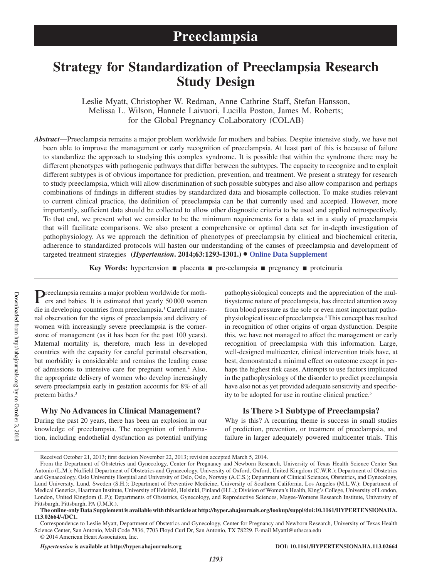# **Strategy for Standardization of Preeclampsia Research Study Design**

Leslie Myatt, Christopher W. Redman, Anne Cathrine Staff, Stefan Hansson, Melissa L. Wilson, Hannele Laivuori, Lucilla Poston, James M. Roberts; for the Global Pregnancy CoLaboratory (COLAB)

*Abstract*—Preeclampsia remains a major problem worldwide for mothers and babies. Despite intensive study, we have not been able to improve the management or early recognition of preeclampsia. At least part of this is because of failure to standardize the approach to studying this complex syndrome. It is possible that within the syndrome there may be different phenotypes with pathogenic pathways that differ between the subtypes. The capacity to recognize and to exploit different subtypes is of obvious importance for prediction, prevention, and treatment. We present a strategy for research to study preeclampsia, which will allow discrimination of such possible subtypes and also allow comparison and perhaps combinations of findings in different studies by standardized data and biosample collection. To make studies relevant to current clinical practice, the definition of preeclampsia can be that currently used and accepted. However, more importantly, sufficient data should be collected to allow other diagnostic criteria to be used and applied retrospectively. To that end, we present what we consider to be the minimum requirements for a data set in a study of preeclampsia that will facilitate comparisons. We also present a comprehensive or optimal data set for in-depth investigation of pathophysiology. As we approach the definition of phenotypes of preeclampsia by clinical and biochemical criteria, adherence to standardized protocols will hasten our understanding of the causes of preeclampsia and development of targeted treatment strategies **(***Hypertension***. 2014;63:1293-1301.)**• **[Online Data Supplement](http://hyper.ahajournals.org/lookup/suppl/doi:10.1161/HYPERTENSIONAHA.113.02664/-/DC1)**

**Key Words:** hypertension ■ placenta ■ pre-eclampsia ■ pregnancy ■ proteinuria

**Preeclampsia remains a major problem worldwide for moth**ers and babies. It is estimated that yearly 50 000 women die in developing countries from preeclampsia.<sup>1</sup> Careful maternal observation for the signs of preeclampsia and delivery of women with increasingly severe preeclampsia is the cornerstone of management (as it has been for the past 100 years). Maternal mortality is, therefore, much less in developed countries with the capacity for careful perinatal observation, but morbidity is considerable and remains the leading cause of admissions to intensive care for pregnant women.<sup>2</sup> Also, the appropriate delivery of women who develop increasingly severe preeclampsia early in gestation accounts for 8% of all preterm births.<sup>3</sup>

### **Why No Advances in Clinical Management?**

During the past 20 years, there has been an explosion in our knowledge of preeclampsia. The recognition of inflammation, including endothelial dysfunction as potential unifying pathophysiological concepts and the appreciation of the multisystemic nature of preeclampsia, has directed attention away from blood pressure as the sole or even most important pathophysiological issue of preeclampsia.4 This concept has resulted in recognition of other origins of organ dysfunction. Despite this, we have not managed to affect the management or early recognition of preeclampsia with this information. Large, well-designed multicenter, clinical intervention trials have, at best, demonstrated a minimal effect on outcome except in perhaps the highest risk cases. Attempts to use factors implicated in the pathophysiology of the disorder to predict preeclampsia have also not as yet provided adequate sensitivity and specificity to be adopted for use in routine clinical practice.5

# **Is There >1 Subtype of Preeclampsia?**

Why is this? A recurring theme is success in small studies of prediction, prevention, or treatment of preeclampsia, and failure in larger adequately powered multicenter trials. This

© 2014 American Heart Association, Inc.

Received October 21, 2013; first decision November 22, 2013; revision accepted March 5, 2014.

From the Department of Obstetrics and Gynecology, Center for Pregnancy and Newborn Research, University of Texas Health Science Center San Antonio (L.M.); Nuffield Department of Obstetrics and Gynaecology, University of Oxford, Oxford, United Kingdom (C.W.R.); Department of Obstetrics and Gynaecology, Oslo University Hospital and University of Oslo, Oslo, Norway (A.C.S.); Department of Clinical Sciences, Obstetrics, and Gynecology, Lund University, Lund, Sweden (S.H.); Department of Preventive Medicine, University of Southern California, Los Angeles (M.L.W.); Department of Medical Genetics, Haartman Institute, University of Helsinki, Helsinki, Finland (H.L.); Division of Women's Health, King's College, University of London, London, United Kingdom (L.P.); Departments of Obstetrics, Gynecology, and Reproductive Sciences, Magee-Womens Research Institute, University of Pittsburgh, Pittsburgh, PA (J.M.R.).

**The online-only Data Supplement is available with this article at [http://hyper.ahajournals.org/lookup/suppl/doi:10.1161/HYPERTENSIONAHA.](http://hyper.ahajournals.org/lookup/suppl/doi:10.1161/HYPERTENSIONAHA.113.02664/-/DC1) [113.02664/-/DC1](http://hyper.ahajournals.org/lookup/suppl/doi:10.1161/HYPERTENSIONAHA.113.02664/-/DC1).**

Correspondence to Leslie Myatt, Department of Obstetrics and Gynecology, Center for Pregnancy and Newborn Research, University of Texas Health Science Center, San Antonio, Mail Code 7836, 7703 Floyd Curl Dr, San Antonio, TX 78229. E-mail [Myattl@uthscsa.edu](mailto:Myattl@uthscsa.edu)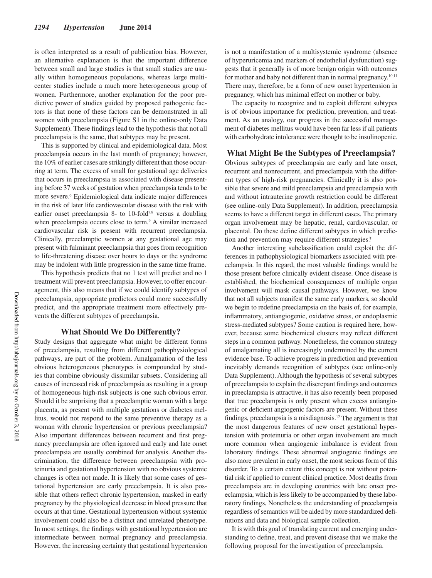is often interpreted as a result of publication bias. However, an alternative explanation is that the important difference between small and large studies is that small studies are usually within homogeneous populations, whereas large multicenter studies include a much more heterogeneous group of women. Furthermore, another explanation for the poor predictive power of studies guided by proposed pathogenic factors is that none of these factors can be demonstrated in all women with preeclampsia (Figure S1 in the online-only Data Supplement). These findings lead to the hypothesis that not all preeclampsia is the same, that subtypes may be present.

This is supported by clinical and epidemiological data. Most preeclampsia occurs in the last month of pregnancy; however, the 10% of earlier cases are strikingly different than those occurring at term. The excess of small for gestational age deliveries that occurs in preeclampsia is associated with disease presenting before 37 weeks of gestation when preeclampsia tends to be more severe.<sup>6</sup> Epidemiological data indicate major differences in the risk of later life cardiovascular disease with the risk with earlier onset preeclampsia 8- to 10-fold<sup>7,8</sup> versus a doubling when preeclampsia occurs close to term.<sup>9</sup> A similar increased cardiovascular risk is present with recurrent preeclampsia. Clinically, preeclamptic women at any gestational age may present with fulminant preeclampsia that goes from recognition to life-threatening disease over hours to days or the syndrome may be indolent with little progression in the same time frame.

This hypothesis predicts that no 1 test will predict and no 1 treatment will prevent preeclampsia. However, to offer encouragement, this also means that if we could identify subtypes of preeclampsia, appropriate predictors could more successfully predict, and the appropriate treatment more effectively prevents the different subtypes of preeclampsia.

### **What Should We Do Differently?**

Study designs that aggregate what might be different forms of preeclampsia, resulting from different pathophysiological pathways, are part of the problem. Amalgamation of the less obvious heterogeneous phenotypes is compounded by studies that combine obviously dissimilar subsets. Considering all causes of increased risk of preeclampsia as resulting in a group of homogeneous high-risk subjects is one such obvious error. Should it be surprising that a preeclamptic woman with a large placenta, as present with multiple gestations or diabetes mellitus, would not respond to the same preventive therapy as a woman with chronic hypertension or previous preeclampsia? Also important differences between recurrent and first pregnancy preeclampsia are often ignored and early and late onset preeclampsia are usually combined for analysis. Another discrimination, the difference between preeclampsia with proteinuria and gestational hypertension with no obvious systemic changes is often not made. It is likely that some cases of gestational hypertension are early preeclampsia. It is also possible that others reflect chronic hypertension, masked in early pregnancy by the physiological decrease in blood pressure that occurs at that time. Gestational hypertension without systemic involvement could also be a distinct and unrelated phenotype. In most settings, the findings with gestational hypertension are intermediate between normal pregnancy and preeclampsia. However, the increasing certainty that gestational hypertension

is not a manifestation of a multisystemic syndrome (absence of hyperuricemia and markers of endothelial dysfunction) suggests that it generally is of more benign origin with outcomes for mother and baby not different than in normal pregnancy.<sup>10,11</sup> There may, therefore, be a form of new onset hypertension in pregnancy, which has minimal effect on mother or baby.

The capacity to recognize and to exploit different subtypes is of obvious importance for prediction, prevention, and treatment. As an analogy, our progress in the successful management of diabetes mellitus would have been far less if all patients with carbohydrate intolerance were thought to be insulinopenic.

### **What Might Be the Subtypes of Preeclampsia?**

Obvious subtypes of preeclampsia are early and late onset, recurrent and nonrecurrent, and preeclampsia with the different types of high-risk pregnancies. Clinically it is also possible that severe and mild preeclampsia and preeclampsia with and without intrauterine growth restriction could be different (see online-only Data Supplement). In addition, preeclampsia seems to have a different target in different cases. The primary organ involvement may be hepatic, renal, cardiovascular, or placental. Do these define different subtypes in which prediction and prevention may require different strategies?

Another interesting subclassification could exploit the differences in pathophysiological biomarkers associated with preeclampsia. In this regard, the most valuable findings would be those present before clinically evident disease. Once disease is established, the biochemical consequences of multiple organ involvement will mask causal pathways. However, we know that not all subjects manifest the same early markers, so should we begin to redefine preeclampsia on the basis of, for example, inflammatory, antiangiogenic, oxidative stress, or endoplasmic stress-mediated subtypes? Some caution is required here, however, because some biochemical clusters may reflect different steps in a common pathway. Nonetheless, the common strategy of amalgamating all is increasingly undermined by the current evidence base. To achieve progress in prediction and prevention inevitably demands recognition of subtypes (see online-only Data Supplement). Although the hypothesis of several subtypes of preeclampsia to explain the discrepant findings and outcomes in preeclampsia is attractive, it has also recently been proposed that true preeclampsia is only present when excess antiangiogenic or deficient angiogenic factors are present. Without these findings, preeclampsia is a misdiagnosis.12 The argument is that the most dangerous features of new onset gestational hypertension with proteinuria or other organ involvement are much more common when angiogenic imbalance is evident from laboratory findings. These abnormal angiogenic findings are also more prevalent in early onset, the most serious form of this disorder. To a certain extent this concept is not without potential risk if applied to current clinical practice. Most deaths from preeclampsia are in developing countries with late onset preeclampsia, which is less likely to be accompanied by these laboratory findings, Nonetheless the understanding of preeclampsia regardless of semantics will be aided by more standardized definitions and data and biological sample collection.

It is with this goal of translating current and emerging understanding to define, treat, and prevent disease that we make the following proposal for the investigation of preeclampsia.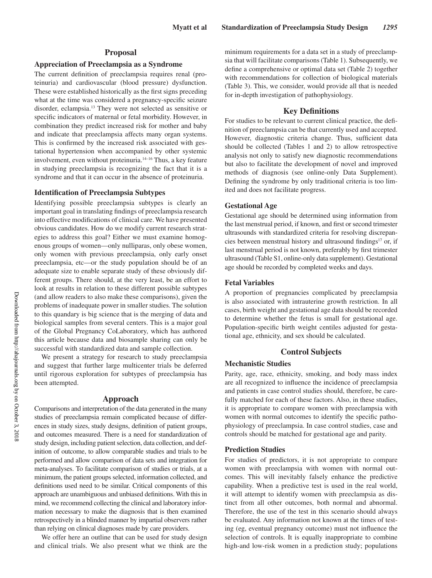### **Proposal**

### **Appreciation of Preeclampsia as a Syndrome**

The current definition of preeclampsia requires renal (proteinuria) and cardiovascular (blood pressure) dysfunction. These were established historically as the first signs preceding what at the time was considered a pregnancy-specific seizure disorder, eclampsia.13 They were not selected as sensitive or specific indicators of maternal or fetal morbidity. However, in combination they predict increased risk for mother and baby and indicate that preeclampsia affects many organ systems. This is confirmed by the increased risk associated with gestational hypertension when accompanied by other systemic involvement, even without proteinuria.14–16 Thus, a key feature in studying preeclampsia is recognizing the fact that it is a syndrome and that it can occur in the absence of proteinuria.

### **Identification of Preeclampsia Subtypes**

Identifying possible preeclampsia subtypes is clearly an important goal in translating findings of preeclampsia research into effective modifications of clinical care. We have presented obvious candidates. How do we modify current research strategies to address this goal? Either we must examine homogenous groups of women—only nulliparas, only obese women, only women with previous preeclampsia, only early onset preeclampsia, etc—or the study population should be of an adequate size to enable separate study of these obviously different groups. There should, at the very least, be an effort to look at results in relation to these different possible subtypes (and allow readers to also make these comparisons), given the problems of inadequate power in smaller studies. The solution to this quandary is big science that is the merging of data and biological samples from several centers. This is a major goal of the Global Pregnancy CoLaboratory, which has authored this article because data and biosample sharing can only be successful with standardized data and sample collection.

We present a strategy for research to study preeclampsia and suggest that further large multicenter trials be deferred until rigorous exploration for subtypes of preeclampsia has been attempted.

#### **Approach**

Comparisons and interpretation of the data generated in the many studies of preeclampsia remain complicated because of differences in study sizes, study designs, definition of patient groups, and outcomes measured. There is a need for standardization of study design, including patient selection, data collection, and definition of outcome, to allow comparable studies and trials to be performed and allow comparison of data sets and integration for meta-analyses. To facilitate comparison of studies or trials, at a minimum, the patient groups selected, information collected, and definitions used need to be similar. Critical components of this approach are unambiguous and unbiased definitions. With this in mind, we recommend collecting the clinical and laboratory information necessary to make the diagnosis that is then examined retrospectively in a blinded manner by impartial observers rather than relying on clinical diagnoses made by care providers.

We offer here an outline that can be used for study design and clinical trials. We also present what we think are the minimum requirements for a data set in a study of preeclampsia that will facilitate comparisons (Table 1). Subsequently, we define a comprehensive or optimal data set (Table 2) together with recommendations for collection of biological materials (Table 3). This, we consider, would provide all that is needed for in-depth investigation of pathophysiology.

### **Key Definitions**

For studies to be relevant to current clinical practice, the definition of preeclampsia can be that currently used and accepted. However, diagnostic criteria change. Thus, sufficient data should be collected (Tables 1 and 2) to allow retrospective analysis not only to satisfy new diagnostic recommendations but also to facilitate the development of novel and improved methods of diagnosis (see online-only Data Supplement). Defining the syndrome by only traditional criteria is too limited and does not facilitate progress.

#### **Gestational Age**

Gestational age should be determined using information from the last menstrual period, if known, and first or second trimester ultrasounds with standardized criteria for resolving discrepancies between menstrual history and ultrasound findings<sup>17</sup> or, if last menstrual period is not known, preferably by first trimester ultrasound (Table S1, online-only data supplement). Gestational age should be recorded by completed weeks and days.

### **Fetal Variables**

A proportion of pregnancies complicated by preeclampsia is also associated with intrauterine growth restriction. In all cases, birth weight and gestational age data should be recorded to determine whether the fetus is small for gestational age. Population-specific birth weight centiles adjusted for gestational age, ethnicity, and sex should be calculated.

### **Control Subjects**

### **Mechanistic Studies**

Parity, age, race, ethnicity, smoking, and body mass index are all recognized to influence the incidence of preeclampsia and patients in case control studies should, therefore, be carefully matched for each of these factors. Also, in these studies, it is appropriate to compare women with preeclampsia with women with normal outcomes to identify the specific pathophysiology of preeclampsia. In case control studies, case and controls should be matched for gestational age and parity.

#### **Prediction Studies**

For studies of predictors, it is not appropriate to compare women with preeclampsia with women with normal outcomes. This will inevitably falsely enhance the predictive capability. When a predictive test is used in the real world, it will attempt to identify women with preeclampsia as distinct from all other outcomes, both normal and abnormal. Therefore, the use of the test in this scenario should always be evaluated. Any information not known at the times of testing (eg, eventual pregnancy outcome) must not influence the selection of controls. It is equally inappropriate to combine high-and low-risk women in a prediction study; populations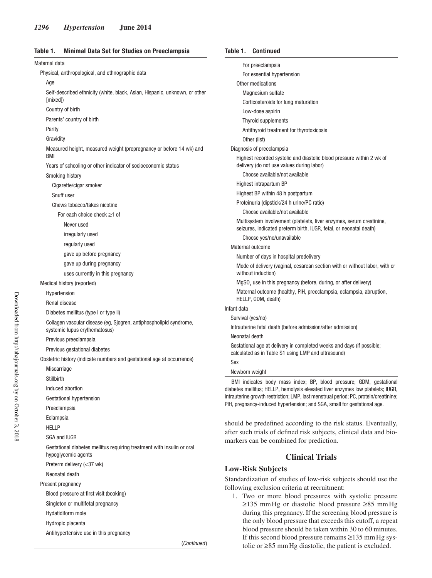| Table 1. Minimal Data Set for Studies on Preeclampsia | Table 1. Continued |
|-------------------------------------------------------|--------------------|
|                                                       |                    |

| Maternal data                                                                                       |             |
|-----------------------------------------------------------------------------------------------------|-------------|
| Physical, anthropological, and ethnographic data                                                    |             |
| Age                                                                                                 |             |
| Self-described ethnicity (white, black, Asian, Hispanic, unknown, or other<br>[mixed])              |             |
| Country of birth                                                                                    |             |
| Parents' country of birth                                                                           |             |
| Parity                                                                                              |             |
| Gravidity                                                                                           |             |
| Measured height, measured weight (prepregnancy or before 14 wk) and<br><b>BMI</b>                   |             |
| Years of schooling or other indicator of socioeconomic status                                       |             |
| Smoking history                                                                                     |             |
| Cigarette/cigar smoker                                                                              |             |
| Snuff user                                                                                          |             |
| Chews tobacco/takes nicotine                                                                        |             |
| For each choice check $\geq$ 1 of                                                                   |             |
| Never used                                                                                          |             |
| irregularly used                                                                                    |             |
| regularly used                                                                                      |             |
| gave up before pregnancy                                                                            |             |
| gave up during pregnancy                                                                            |             |
| uses currently in this pregnancy                                                                    |             |
| Medical history (reported)                                                                          |             |
| Hypertension                                                                                        |             |
| Renal disease                                                                                       |             |
| Diabetes mellitus (type I or type II)                                                               |             |
| Collagen vascular disease (eg, Sjogren, antiphospholipid syndrome,<br>systemic lupus erythematosus) |             |
| Previous preeclampsia                                                                               |             |
| Previous gestational diabetes                                                                       |             |
| Obstetric history (indicate numbers and gestational age at occurrence)                              |             |
| Miscarriage                                                                                         |             |
| Stillbirth                                                                                          |             |
| Induced abortion                                                                                    |             |
| Gestational hypertension                                                                            |             |
| Preeclampsia                                                                                        |             |
| Eclampsia                                                                                           |             |
| <b>HELLP</b>                                                                                        |             |
| <b>SGA and IUGR</b>                                                                                 |             |
| Gestational diabetes mellitus requiring treatment with insulin or oral<br>hypoglycemic agents       |             |
| Preterm delivery (<37 wk)                                                                           |             |
| Neonatal death                                                                                      |             |
| Present pregnancy                                                                                   |             |
| Blood pressure at first visit (booking)                                                             |             |
| Singleton or multifetal pregnancy                                                                   |             |
| Hydatidiform mole                                                                                   |             |
| Hydropic placenta                                                                                   |             |
| Antihypertensive use in this pregnancy                                                              |             |
|                                                                                                     | (Continued) |

## For preeclampsia For essential hypertension Other medications Magnesium sulfate Corticosteroids for lung maturation Low-dose aspirin Thyroid supplements Antithyroid treatment for thyrotoxicosis Other (list) Diagnosis of preeclampsia Highest recorded systolic and diastolic blood pressure within 2 wk of delivery (do not use values during labor) Choose available/not available Highest intrapartum BP Highest BP within 48 h postpartum Proteinuria (dipstick/24 h urine/PC ratio) Choose available/not available Multisystem involvement (platelets, liver enzymes, serum creatinine, seizures, indicated preterm birth, IUGR, fetal, or neonatal death) Choose yes/no/unavailable Maternal outcome Number of days in hospital predelivery Mode of delivery (vaginal, cesarean section with or without labor, with or without induction)  $MgSO<sub>4</sub>$  use in this pregnancy (before, during, or after delivery) Maternal outcome (healthy, PIH, preeclampsia, eclampsia, abruption, HELLP, GDM, death) Infant data Survival (yes/no) Intrauterine fetal death (before admission/after admission) Neonatal death Gestational age at delivery in completed weeks and days (if possible; calculated as in Table S1 using LMP and ultrasound) Sex Newborn weight BMI indicates body mass index; BP, blood pressure; GDM, gestational

diabetes mellitus; HELLP, hemolysis elevated liver enzymes low platelets; IUGR, intrauterine growth restriction; LMP, last menstrual period; PC, protein/creatinine; PIH, pregnancy-induced hypertension; and SGA, small for gestational age.

should be predefined according to the risk status. Eventually, after such trials of defined risk subjects, clinical data and biomarkers can be combined for prediction.

### **Clinical Trials**

### **Low-Risk Subjects**

Standardization of studies of low-risk subjects should use the following exclusion criteria at recruitment:

1. Two or more blood pressures with systolic pressure ≥135 mmHg or diastolic blood pressure ≥85 mmHg during this pregnancy. If the screening blood pressure is the only blood pressure that exceeds this cutoff, a repeat blood pressure should be taken within 30 to 60 minutes. If this second blood pressure remains ≥135 mmHg systolic or ≥85 mmHg diastolic, the patient is excluded.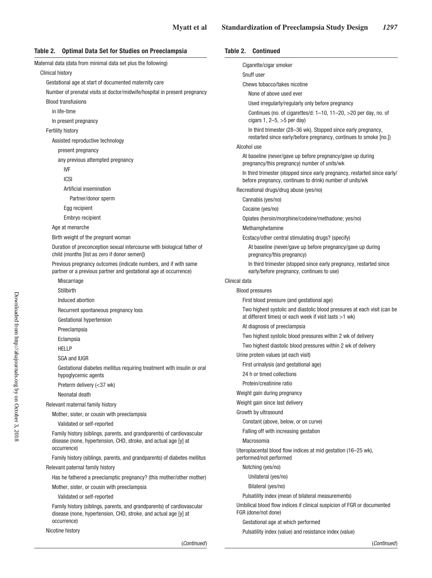### Table 2. Optimal Data Set for Studies on Preeclampsia

| Maternal data (data from minimal data set plus the following)                                                                                            |                            |
|----------------------------------------------------------------------------------------------------------------------------------------------------------|----------------------------|
| Clinical history                                                                                                                                         | Ciga<br>Snu                |
| Gestational age at start of documented maternity care                                                                                                    | Che                        |
| Number of prenatal visits at doctor/midwife/hospital in present pregnancy                                                                                | Ν                          |
| <b>Blood transfusions</b>                                                                                                                                | U                          |
| in life-time                                                                                                                                             | C                          |
| In present pregnancy                                                                                                                                     | C                          |
| <b>Fertility history</b>                                                                                                                                 | Ir                         |
| Assisted reproductive technology                                                                                                                         | r                          |
| present pregnancy                                                                                                                                        | Alcoho                     |
| any previous attempted pregnancy                                                                                                                         | At b                       |
| <b>IVF</b>                                                                                                                                               | preg                       |
| <b>ICSI</b>                                                                                                                                              | In tr<br>befc              |
| Artificial insemination                                                                                                                                  | Recrea                     |
| Partner/donor sperm                                                                                                                                      | Can                        |
| Egg recipient                                                                                                                                            | Coci                       |
| Embryo recipient                                                                                                                                         | <b>Opia</b>                |
| Age at menarche                                                                                                                                          | Met                        |
| Birth weight of the pregnant woman                                                                                                                       | Ecst                       |
| Duration of preconception sexual intercourse with biological father of                                                                                   | Α                          |
| child (months [list as zero if donor semen])                                                                                                             | р                          |
| Previous pregnancy outcomes (indicate numbers, and if with same                                                                                          | Ir                         |
| partner or a previous partner and gestational age at occurrence)                                                                                         | e                          |
| Miscarriage                                                                                                                                              | Clinical data              |
| Stillbirth                                                                                                                                               | Blood i                    |
| Induced abortion                                                                                                                                         | First                      |
| Recurrent spontaneous pregnancy loss                                                                                                                     | Two                        |
| Gestational hypertension                                                                                                                                 | at d                       |
| Preeclampsia                                                                                                                                             | At d                       |
| Eclampsia                                                                                                                                                | Two                        |
| <b>HELLP</b>                                                                                                                                             | Two                        |
| SGA and IUGR                                                                                                                                             | Urine p                    |
| Gestational diabetes mellitus requiring treatment with insulin or oral                                                                                   | First                      |
| hypoglycemic agents                                                                                                                                      | 24 h                       |
| Preterm delivery (<37 wk)                                                                                                                                | Prot                       |
| Neonatal death                                                                                                                                           | Weight                     |
| Relevant maternal family history                                                                                                                         | Weight                     |
| Mother, sister, or cousin with preeclampsia                                                                                                              | Growth                     |
| Validated or self-reported                                                                                                                               | Con                        |
| Family history (siblings, parents, and grandparents) of cardiovascular                                                                                   | Falli                      |
| disease (none, hypertension, CHD, stroke, and actual age [y] at<br>occurrence)                                                                           | Mac                        |
| Family history (siblings, parents, and grandparents) of diabetes mellitus                                                                                | Uterop<br>perforr          |
| Relevant paternal family history                                                                                                                         | Noto                       |
| Has he fathered a preeclamptic pregnancy? (this mother/other mother)                                                                                     | U                          |
| Mother, sister, or cousin with preeclampsia                                                                                                              | B                          |
|                                                                                                                                                          | Puls                       |
| Validated or self-reported                                                                                                                               | Umbilio                    |
| Family history (siblings, parents, and grandparents) of cardiovascular<br>disease (none, hypertension, CHD, stroke, and actual age [y] at<br>occurrence) | FGR (d<br>Ges <sup>.</sup> |
| Nicotine history                                                                                                                                         | Puls                       |

(Continued)

|  | Table 2. |  | <b>Continued</b> |
|--|----------|--|------------------|
|--|----------|--|------------------|

| Cigarette/cigar smoker                                                                                                                |
|---------------------------------------------------------------------------------------------------------------------------------------|
| Snuff user                                                                                                                            |
| Chews tobacco/takes nicotine                                                                                                          |
| None of above used ever                                                                                                               |
| Used irregularly/regularly only before pregnancy                                                                                      |
| Continues (no. of cigarettes/d: $1-10$ , $11-20$ , $>20$ per day, no. of<br>cigars $1, 2-5, >5$ per day)                              |
| In third trimester (28-36 wk), Stopped since early pregnancy,<br>restarted since early/before pregnancy, continues to smoke [no.])    |
| Alcohol use                                                                                                                           |
| At baseline (never/gave up before pregnancy/gave up during<br>pregnancy/this pregnancy) number of units/wk                            |
| In third trimester (stopped since early pregnancy, restarted since early/<br>before pregnancy, continues to drink) number of units/wk |
| Recreational drugs/drug abuse (yes/no)                                                                                                |
| Cannabis (yes/no)                                                                                                                     |
| Cocaine (yes/no)                                                                                                                      |
| Opiates (heroin/morphine/codeine/methadone; yes/no)                                                                                   |
| Methamphetamine                                                                                                                       |
| Ecstacy/other central stimulating drugs? (specify)                                                                                    |
| At baseline (never/gave up before pregnancy/gave up during<br>pregnancy/this pregnancy)                                               |
| In third trimester (stopped since early pregnancy, restarted since<br>early/before pregnancy, continues to use)                       |
| Clinical data                                                                                                                         |
| <b>Blood pressures</b>                                                                                                                |
| First blood pressure (and gestational age)                                                                                            |
| Two highest systolic and diastolic blood pressures at each visit (can be<br>at different times) or each week if visit lasts >1 wk)    |
| At diagnosis of preeclampsia                                                                                                          |
| Two highest systolic blood pressures within 2 wk of delivery                                                                          |
| Two highest diastolic blood pressures within 2 wk of delivery                                                                         |
| Urine protein values (at each visit)                                                                                                  |
| First urinalysis (and gestational age)                                                                                                |
| 24 h or timed collections                                                                                                             |
| Protein/creatinine ratio                                                                                                              |
| Weight gain during pregnancy                                                                                                          |
| Weight gain since last delivery                                                                                                       |
| Growth by ultrasound                                                                                                                  |
| Constant (above, below, or on curve)<br>Falling off with increasing gestation                                                         |
| Macrosomia                                                                                                                            |
| Uteroplacental blood flow indices at mid gestation (16-25 wk),                                                                        |
| performed/not performed<br>Notching (yes/no)                                                                                          |
| Unilateral (yes/no)                                                                                                                   |
|                                                                                                                                       |
| Bilateral (yes/no)                                                                                                                    |
| Pulsatility index (mean of bilateral measurements)<br>Umbilical blood flow indices if clinical suspicion of FGR or documented         |
| FGR (done/not done)<br>Gestational age at which performed                                                                             |

(Continued)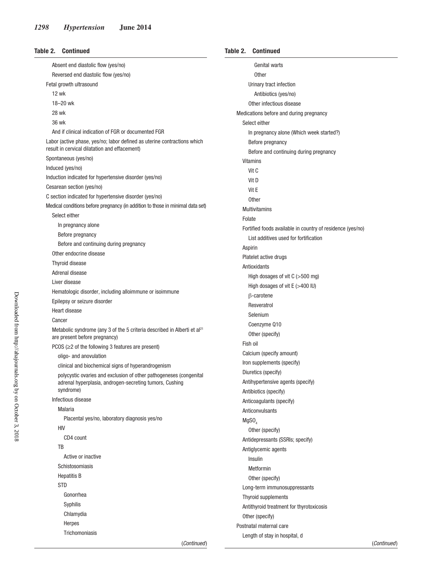Table 2. Continued

 Absent end diastolic flow (yes/no) Reversed end diastolic flow (yes/no) Fetal growth ultrasound 12 wk 18–20 wk 28 wk 36 wk And if clinical indication of FGR or documented FGR Labor (active phase, yes/no; labor defined as uterine contractions which result in cervical dilatation and effacement) Spontaneous (yes/no) Induced (yes/no) Induction indicated for hypertensive disorder (yes/no) Cesarean section (yes/no) C section indicated for hypertensive disorder (yes/no) Medical conditions before pregnancy (in addition to those in minimal data set) Select either In pregnancy alone Before pregnancy Before and continuing during pregnancy Other endocrine disease Thyroid disease Adrenal disease Liver disease Hematologic disorder, including alloimmune or isoimmune Epilepsy or seizure disorder Heart disease **Cancer** Metabolic syndrome (any 3 of the 5 criteria described in Alberti et al<sup>21</sup> are present before pregnancy) PCOS (≥2 of the following 3 features are present) oligo- and anovulation clinical and biochemical signs of hyperandrogenism polycystic ovaries and exclusion of other pathogeneses (congenital adrenal hyperplasia, androgen-secreting tumors, Cushing syndrome) Infectious disease Malaria Placental yes/no, laboratory diagnosis yes/no HIV CD4 count TB Active or inactive Schistosomiasis Hepatitis B STD Gonorrhea Syphilis Chlamydia Herpes **Trichomoniasis** 

# Genital warts **Other**  Urinary tract infection Antibiotics (yes/no) Other infectious disease Medications before and during pregnancy Select either In pregnancy alone (Which week started?) Before pregnancy Before and continuing during pregnancy Vitamins Vit C Vit D Vit E Other Multivitamins Folate Fortified foods available in country of residence (yes/no) List additives used for fortification Aspirin Platelet active drugs Antioxidants High dosages of vit C (>500 mg) High dosages of vit E (>400 IU) β-carotene Resveratrol Selenium Coenzyme Q10 Other (specify) Fish oil Calcium (specify amount) Iron supplements (specify) Diuretics (specify) Antihypertensive agents (specify) Antibiotics (specify) Anticoagulants (specify) Anticonvulsants MgSO, Other (specify) Antidepressants (SSRIs; specify) Antiglycemic agents Insulin Metformin Other (specify) Long-term immunosuppressants Table 2. Continued

Thyroid supplements

 Other (specify) Postnatal maternal care Length of stay in hospital, d

Antithyroid treatment for thyrotoxicosis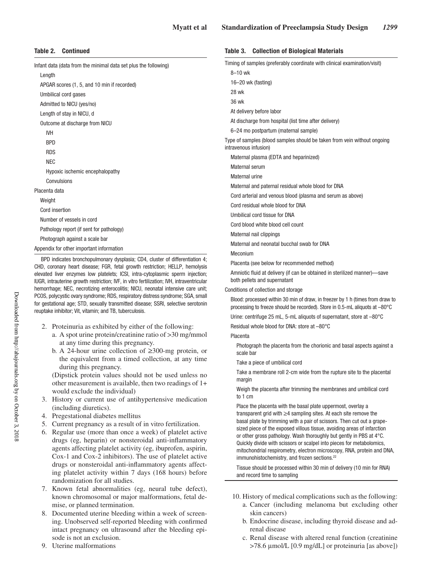### Table 2. Continued

| TANIG 4.<br><b>UUIILIILUGU</b>                                  |
|-----------------------------------------------------------------|
| Infant data (data from the minimal data set plus the following) |
| Length                                                          |
| APGAR scores (1, 5, and 10 min if recorded)                     |
| Umbilical cord gases                                            |
| Admitted to NICU (yes/no)                                       |
| Length of stay in NICU, d                                       |
| Outcome at discharge from NICU                                  |
| <b>IVH</b>                                                      |
| <b>BPD</b>                                                      |
| <b>RDS</b>                                                      |
| <b>NEC</b>                                                      |
| Hypoxic ischemic encephalopathy                                 |
| Convulsions                                                     |
| Placenta data                                                   |
| Weight                                                          |
| Cord insertion                                                  |
| Number of vessels in cord                                       |
| Pathology report (if sent for pathology)                        |
| Photograph against a scale bar                                  |
| Appendix for other important information                        |
| $\sim$ $\sim$<br>$\mathbf{r}$ , and $\mathbf{r}$                |

BPD indicates bronchopulmonary dysplasia; CD4, cluster of differentiation 4; CHD, coronary heart disease; FGR, fetal growth restriction; HELLP, hemolysis elevated liver enzymes low platelets; ICSI, intra-cytoplasmic sperm injection; IUGR, intrauterine growth restriction; IVF, in vitro fertilization; IVH, intraventricular hemorrhage; NEC, necrotizing enterocolitis; NICU, neonatal intensive care unit; PCOS, polycystic ovary syndrome; RDS, respiratory distress syndrome; SGA, small for gestational age; STD, sexually transmitted disease; SSRI, selective serotonin reuptake inhibitor; Vit, vitamin; and TB, tuberculosis.

- 2. Proteinuria as exhibited by either of the following:
	- a. A spot urine protein/creatinine ratio of >30 mg/mmol at any time during this pregnancy.
	- b. A 24-hour urine collection of ≥300-mg protein, or the equivalent from a timed collection, at any time during this pregnancy.

(Dipstick protein values should not be used unless no other measurement is available, then two readings of 1+ would exclude the individual)

- 3. History or current use of antihypertensive medication (including diuretics).
- 4. Pregestational diabetes mellitus
- 5. Current pregnancy as a result of in vitro fertilization.
- 6. Regular use (more than once a week) of platelet active drugs (eg, heparin) or nonsteroidal anti-inflammatory agents affecting platelet activity (eg, ibuprofen, aspirin, Cox-1 and Cox-2 inhibitors). The use of platelet active drugs or nonsteroidal anti-inflammatory agents affecting platelet activity within 7 days (168 hours) before randomization for all studies.
- 7. Known fetal abnormalities (eg, neural tube defect), known chromosomal or major malformations, fetal demise, or planned termination.
- 8. Documented uterine bleeding within a week of screening. Unobserved self-reported bleeding with confirmed intact pregnancy on ultrasound after the bleeding episode is not an exclusion.
- 9. Uterine malformations

#### Table 3. Collection of Biological Materials

| Timing of samples (preferably coordinate with clinical examination/visit)                                                                                                                                                                                                                                                                                                                                                                                                                                                                                                   |  |
|-----------------------------------------------------------------------------------------------------------------------------------------------------------------------------------------------------------------------------------------------------------------------------------------------------------------------------------------------------------------------------------------------------------------------------------------------------------------------------------------------------------------------------------------------------------------------------|--|
| 8-10 wk                                                                                                                                                                                                                                                                                                                                                                                                                                                                                                                                                                     |  |
| 16–20 wk (fasting)                                                                                                                                                                                                                                                                                                                                                                                                                                                                                                                                                          |  |
| 28 wk                                                                                                                                                                                                                                                                                                                                                                                                                                                                                                                                                                       |  |
| 36 wk                                                                                                                                                                                                                                                                                                                                                                                                                                                                                                                                                                       |  |
| At delivery before labor                                                                                                                                                                                                                                                                                                                                                                                                                                                                                                                                                    |  |
| At discharge from hospital (list time after delivery)                                                                                                                                                                                                                                                                                                                                                                                                                                                                                                                       |  |
| 6–24 mo postpartum (maternal sample)                                                                                                                                                                                                                                                                                                                                                                                                                                                                                                                                        |  |
| Type of samples (blood samples should be taken from vein without ongoing<br>intravenous infusion)                                                                                                                                                                                                                                                                                                                                                                                                                                                                           |  |
| Maternal plasma (EDTA and heparinized)                                                                                                                                                                                                                                                                                                                                                                                                                                                                                                                                      |  |
| Maternal serum                                                                                                                                                                                                                                                                                                                                                                                                                                                                                                                                                              |  |
| Maternal urine                                                                                                                                                                                                                                                                                                                                                                                                                                                                                                                                                              |  |
| Maternal and paternal residual whole blood for DNA                                                                                                                                                                                                                                                                                                                                                                                                                                                                                                                          |  |
| Cord arterial and venous blood (plasma and serum as above)                                                                                                                                                                                                                                                                                                                                                                                                                                                                                                                  |  |
| Cord residual whole blood for DNA                                                                                                                                                                                                                                                                                                                                                                                                                                                                                                                                           |  |
| Umbilical cord tissue for DNA                                                                                                                                                                                                                                                                                                                                                                                                                                                                                                                                               |  |
| Cord blood white blood cell count                                                                                                                                                                                                                                                                                                                                                                                                                                                                                                                                           |  |
| Maternal nail clippings                                                                                                                                                                                                                                                                                                                                                                                                                                                                                                                                                     |  |
| Maternal and neonatal bucchal swab for DNA                                                                                                                                                                                                                                                                                                                                                                                                                                                                                                                                  |  |
| Meconium                                                                                                                                                                                                                                                                                                                                                                                                                                                                                                                                                                    |  |
| Placenta (see below for recommended method)                                                                                                                                                                                                                                                                                                                                                                                                                                                                                                                                 |  |
| Amniotic fluid at delivery (if can be obtained in sterilized manner)—save<br>both pellets and supernatant                                                                                                                                                                                                                                                                                                                                                                                                                                                                   |  |
| Conditions of collection and storage                                                                                                                                                                                                                                                                                                                                                                                                                                                                                                                                        |  |
| Blood: processed within 30 min of draw, in freezer by 1 h (times from draw to<br>processing to freeze should be recorded). Store in 0.5-mL aliquots at -80°C                                                                                                                                                                                                                                                                                                                                                                                                                |  |
| Urine: centrifuge 25 mL, 5-mL aliquots of supernatant, store at $-80^{\circ}$ C                                                                                                                                                                                                                                                                                                                                                                                                                                                                                             |  |
| Residual whole blood for DNA: store at -80°C                                                                                                                                                                                                                                                                                                                                                                                                                                                                                                                                |  |
| Placenta                                                                                                                                                                                                                                                                                                                                                                                                                                                                                                                                                                    |  |
| Photograph the placenta from the chorionic and basal aspects against a<br>scale bar                                                                                                                                                                                                                                                                                                                                                                                                                                                                                         |  |
| Take a piece of umbilical cord                                                                                                                                                                                                                                                                                                                                                                                                                                                                                                                                              |  |
| Take a membrane roll 2-cm wide from the rupture site to the placental<br>margin                                                                                                                                                                                                                                                                                                                                                                                                                                                                                             |  |
| Weigh the placenta after trimming the membranes and umbilical cord<br>to 1 cm                                                                                                                                                                                                                                                                                                                                                                                                                                                                                               |  |
| Place the placenta with the basal plate uppermost, overlay a<br>transparent grid with ≥4 sampling sites. At each site remove the<br>basal plate by trimming with a pair of scissors. Then cut out a grape-<br>sized piece of the exposed villous tissue, avoiding areas of infarction<br>or other gross pathology. Wash thoroughly but gently in PBS at 4°C.<br>Quickly divide with scissors or scalpel into pieces for metabolomics,<br>mitochondrial respirometry, electron microscopy, RNA, protein and DNA,<br>immunohistochemistry, and frozen sections. <sup>22</sup> |  |
| Tissue should be processed within 30 min of delivery (10 min for RNA)<br>and record time to sampling                                                                                                                                                                                                                                                                                                                                                                                                                                                                        |  |

- 10. History of medical complications such as the following: a. Cancer (including melanoma but excluding other skin cancers)
	- b. Endocrine disease, including thyroid disease and adrenal disease
	- c. Renal disease with altered renal function (creatinine >78.6 μmol/L [0.9 mg/dL] or proteinuria [as above])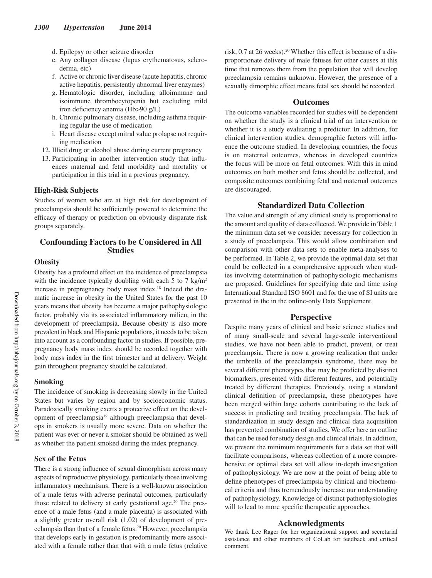- d. Epilepsy or other seizure disorder
- e. Any collagen disease (lupus erythematosus, scleroderma, etc)
- f. Active or chronic liver disease (acute hepatitis, chronic active hepatitis, persistently abnormal liver enzymes)
- g. Hematologic disorder, including alloimmune and isoimmune thrombocytopenia but excluding mild iron deficiency anemia (Hb>90 g/L)
- h. Chronic pulmonary disease, including asthma requiring regular the use of medication
- i. Heart disease except mitral value prolapse not requiring medication
- 12. Illicit drug or alcohol abuse during current pregnancy
- 13. Participating in another intervention study that influences maternal and fetal morbidity and mortality or participation in this trial in a previous pregnancy.

### **High-Risk Subjects**

Studies of women who are at high risk for development of preeclampsia should be sufficiently powered to determine the efficacy of therapy or prediction on obviously disparate risk groups separately.

### **Confounding Factors to be Considered in All Studies**

### **Obesity**

Obesity has a profound effect on the incidence of preeclampsia with the incidence typically doubling with each 5 to 7 kg/m<sup>2</sup> increase in prepregnancy body mass index.18 Indeed the dramatic increase in obesity in the United States for the past 10 years means that obesity has become a major pathophysiologic factor, probably via its associated inflammatory milieu, in the development of preeclampsia. Because obesity is also more prevalent in black and Hispanic populations, it needs to be taken into account as a confounding factor in studies. If possible, prepregnancy body mass index should be recorded together with body mass index in the first trimester and at delivery. Weight gain throughout pregnancy should be calculated.

### **Smoking**

The incidence of smoking is decreasing slowly in the United States but varies by region and by socioeconomic status. Paradoxically smoking exerts a protective effect on the development of preeclampsia19 although preeclampsia that develops in smokers is usually more severe. Data on whether the patient was ever or never a smoker should be obtained as well as whether the patient smoked during the index pregnancy.

### **Sex of the Fetus**

There is a strong influence of sexual dimorphism across many aspects of reproductive physiology, particularly those involving inflammatory mechanisms. There is a well-known association of a male fetus with adverse perinatal outcomes, particularly those related to delivery at early gestational age.<sup>20</sup> The presence of a male fetus (and a male placenta) is associated with a slightly greater overall risk (1.02) of development of preeclampsia than that of a female fetus.<sup>20</sup> However, preeclampsia that develops early in gestation is predominantly more associated with a female rather than that with a male fetus (relative

risk, 0.7 at 26 weeks).<sup>20</sup> Whether this effect is because of a disproportionate delivery of male fetuses for other causes at this time that removes them from the population that will develop preeclampsia remains unknown. However, the presence of a sexually dimorphic effect means fetal sex should be recorded.

### **Outcomes**

The outcome variables recorded for studies will be dependent on whether the study is a clinical trial of an intervention or whether it is a study evaluating a predictor. In addition, for clinical intervention studies, demographic factors will influence the outcome studied. In developing countries, the focus is on maternal outcomes, whereas in developed countries the focus will be more on fetal outcomes. With this in mind outcomes on both mother and fetus should be collected, and composite outcomes combining fetal and maternal outcomes are discouraged.

### **Standardized Data Collection**

The value and strength of any clinical study is proportional to the amount and quality of data collected. We provide in Table 1 the minimum data set we consider necessary for collection in a study of preeclampsia. This would allow combination and comparison with other data sets to enable meta-analyses to be performed. In Table 2, we provide the optimal data set that could be collected in a comprehensive approach when studies involving determination of pathophysiologic mechanisms are proposed. Guidelines for specifying date and time using International Standard ISO 8601 and for the use of SI units are presented in the in the online-only Data Supplement.

### **Perspective**

Despite many years of clinical and basic science studies and of many small-scale and several large-scale interventional studies, we have not been able to predict, prevent, or treat preeclampsia. There is now a growing realization that under the umbrella of the preeclampsia syndrome, there may be several different phenotypes that may be predicted by distinct biomarkers, presented with different features, and potentially treated by different therapies. Previously, using a standard clinical definition of preeclampsia, these phenotypes have been merged within large cohorts contributing to the lack of success in predicting and treating preeclampsia. The lack of standardization in study design and clinical data acquisition has prevented combination of studies. We offer here an outline that can be used for study design and clinical trials. In addition, we present the minimum requirements for a data set that will facilitate comparisons, whereas collection of a more comprehensive or optimal data set will allow in-depth investigation of pathophysiology. We are now at the point of being able to define phenotypes of preeclampsia by clinical and biochemical criteria and thus tremendously increase our understanding of pathophysiology. Knowledge of distinct pathophysiologies will to lead to more specific therapeutic approaches.

#### **Acknowledgments**

We thank Lee Rager for her organizational support and secretarial assistance and other members of CoLab for feedback and critical comment.